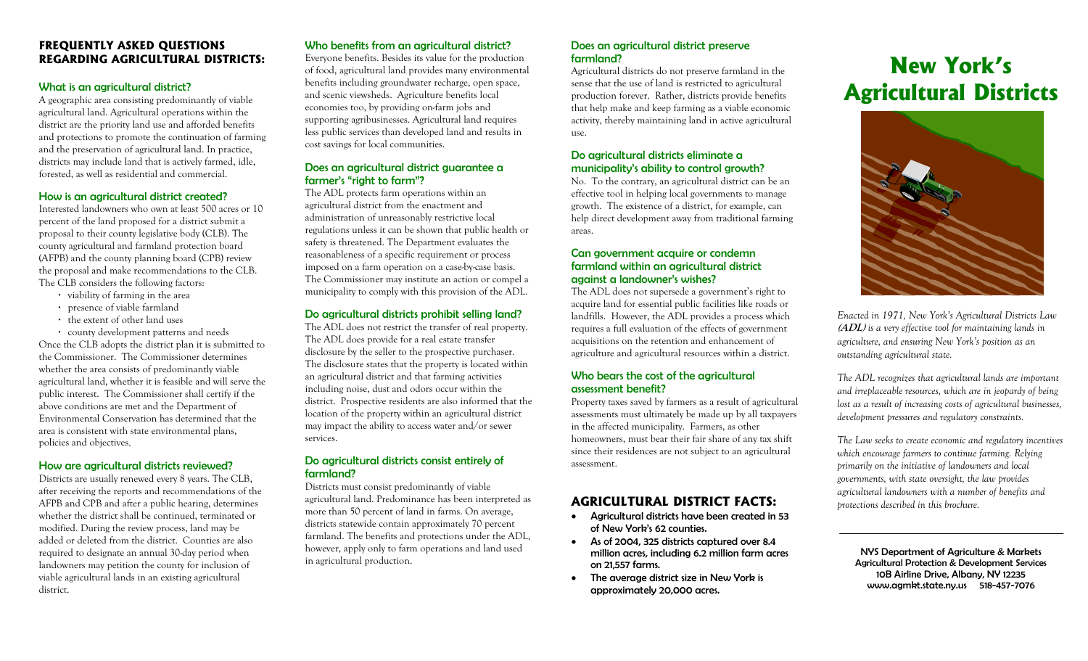# **FREQUENTLY ASKED QUESTIONS REGARDING AGRICULTURAL DISTRICTS:**

#### What is an agricultural district?

A geographic area consisting predominantly of viable agricultural land. Agricultural operations within the district are the priority land use and afforded benefits and protections to promote the continuation of farming and the preservation of agricultural land. In practice, districts may include land that is actively farmed, idle, forested, as well as residential and commercial.

#### How is an agricultural district created?

Interested landowners who own at least 500 acres or 10 percent of the land proposed for a district submit a proposal to their county legislative body (CLB). The county agricultural and farmland protection board (AFPB) and the county planning board (CPB) review the proposal and make recommendations to the CLB. The CLB considers the following factors:

- **·** viability of farming in the area
- **·** presence of viable farmland
- **·** the extent of other land uses
- **·** county development patterns and needs

Once the CLB adopts the district plan it is submitted to the Commissioner. The Commissioner determines whether the area consists of predominantly viable agricultural land, whether it is feasible and will serve the public interest. The Commissioner shall certify if the above conditions are met and the Department of Environmental Conservation has determined that the area is consistent with state environmental plans, policies and objectives.

# How are agricultural districts reviewed?

Districts are usually renewed every 8 years. The CLB, after receiving the reports and recommendations of the AFPB and CPB and after a public hearing, determines whether the district shall be continued, terminated or modified. During the review process, land may be added or deleted from the district. Counties are also required to designate an annual 30-day period when landowners may petition the county for inclusion of viable agricultural lands in an existing agricultural district.

# Who benefits from an agricultural district?

Everyone benefits. Besides its value for the production of food, agricultural land provides many environmental benefits including groundwater recharge, open space, and scenic viewsheds. Agriculture benefits local economies too, by providing on-farm jobs and supporting agribusinesses. Agricultural land requires less public services than developed land and results in cost savings for local communities.

#### Does an agricultural district guarantee a farmer's "right to farm"?

The ADL protects farm operations within an agricultural district from the enactment and administration of unreasonably restrictive local regulations unless it can be shown that public health or safety is threatened. The Department evaluates the reasonableness of a specific requirement or process imposed on a farm operation on a case-by-case basis. The Commissioner may institute an action or compel a municipality to comply with this provision of the ADL.

# Do agricultural districts prohibit selling land?

The ADL does not restrict the transfer of real property. The ADL does provide for a real estate transfer disclosure by the seller to the prospective purchaser. The disclosure states that the property is located within an agricultural district and that farming activities including noise, dust and odors occur within the district. Prospective residents are also informed that the location of the property within an agricultural district may impact the ability to access water and/or sewer services.

#### Do agricultural districts consist entirely of farmland?

Districts must consist predominantly of viable agricultural land. Predominance has been interpreted as more than 50 percent of land in farms. On average, districts statewide contain approximately 70 percent farmland. The benefits and protections under the ADL, however, apply only to farm operations and land used in agricultural production.

## Does an agricultural district preserve farmland?

Agricultural districts do not preserve farmland in the sense that the use of land is restricted to agricultural production forever. Rather, districts provide benefits that help make and keep farming as a viable economic activity, thereby maintaining land in active agricultural use.

# Do agricultural districts eliminate a municipality's ability to control growth?

No. To the contrary, an agricultural district can be an effective tool in helping local governments to manage growth. The existence of a district, for example, can help direct development away from traditional farming areas.

# Can government acquire or condemn farmland within an agricultural district against a landowner's wishes?

The ADL does not supersede a government's right to acquire land for essential public facilities like roads or landfills. However, the ADL provides a process which requires a full evaluation of the effects of government acquisitions on the retention and enhancement of agriculture and agricultural resources within a district.

# Who bears the cost of the agricultural assessment benefit?

Property taxes saved by farmers as a result of agricultural assessments must ultimately be made up by all taxpayers in the affected municipality. Farmers, as other homeowners, must bear their fair share of any tax shift since their residences are not subject to an agricultural assessment.

# **AGRICULTURAL DISTRICT FACTS:**

- Agricultural districts have been created in 53 of New York's 62 counties.
- As of 2004, 325 districts captured over 8.4 million acres, including 6.2 million farm acres on 21,557 farms.
- • The average district size in New York is approximately 20,000 acres.

# **New York's Agricultural Districts**



*Enacted in 1971, New York's Agricultural Districts Law*  **(ADL)** *is a very effective tool for maintaining lands in agriculture, and ensuring New York's position as an outstanding agricultural state.* 

*The ADL recognizes that agricultural lands are important and irreplaceable resources, which are in jeopardy of being lost as a result of increasing costs of agricultural businesses, development pressures and regulatory constraints.* 

*The Law seeks to create economic and regulatory incentives which encourage farmers to continue farming. Relying primarily on the initiative of landowners and local governments, with state oversight, the law provides agricultural landowners with a number of benefits and protections described in this brochure.* 

NYS Department of Agriculture & Markets Agricultural Protection & Development Services 10B Airline Drive, Albany, NY 12235 www.agmkt.state.ny.us 518-457-7076